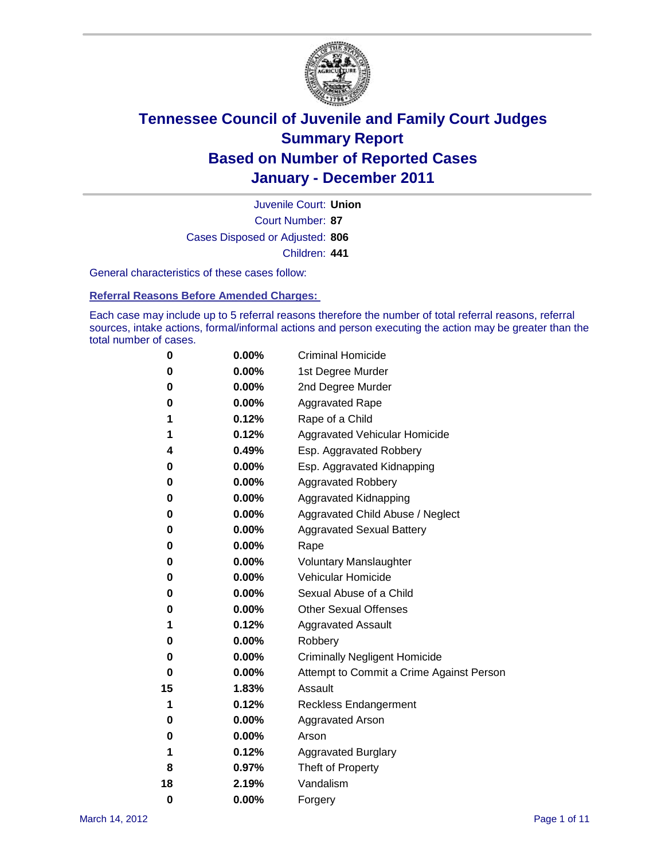

Court Number: **87** Juvenile Court: **Union** Cases Disposed or Adjusted: **806** Children: **441**

General characteristics of these cases follow:

**Referral Reasons Before Amended Charges:** 

Each case may include up to 5 referral reasons therefore the number of total referral reasons, referral sources, intake actions, formal/informal actions and person executing the action may be greater than the total number of cases.

| 0  | 0.00%    | <b>Criminal Homicide</b>                 |
|----|----------|------------------------------------------|
| 0  | 0.00%    | 1st Degree Murder                        |
| 0  | 0.00%    | 2nd Degree Murder                        |
| 0  | 0.00%    | <b>Aggravated Rape</b>                   |
| 1  | 0.12%    | Rape of a Child                          |
| 1  | 0.12%    | Aggravated Vehicular Homicide            |
| 4  | 0.49%    | Esp. Aggravated Robbery                  |
| 0  | 0.00%    | Esp. Aggravated Kidnapping               |
| 0  | 0.00%    | <b>Aggravated Robbery</b>                |
| 0  | 0.00%    | Aggravated Kidnapping                    |
| 0  | 0.00%    | Aggravated Child Abuse / Neglect         |
| 0  | $0.00\%$ | <b>Aggravated Sexual Battery</b>         |
| 0  | 0.00%    | Rape                                     |
| 0  | $0.00\%$ | <b>Voluntary Manslaughter</b>            |
| 0  | 0.00%    | Vehicular Homicide                       |
| 0  | 0.00%    | Sexual Abuse of a Child                  |
| 0  | 0.00%    | <b>Other Sexual Offenses</b>             |
| 1  | 0.12%    | <b>Aggravated Assault</b>                |
| 0  | $0.00\%$ | Robbery                                  |
| 0  | 0.00%    | <b>Criminally Negligent Homicide</b>     |
| 0  | 0.00%    | Attempt to Commit a Crime Against Person |
| 15 | 1.83%    | Assault                                  |
| 1  | 0.12%    | <b>Reckless Endangerment</b>             |
| 0  | 0.00%    | <b>Aggravated Arson</b>                  |
| 0  | 0.00%    | Arson                                    |
| 1  | 0.12%    | <b>Aggravated Burglary</b>               |
| 8  | 0.97%    | Theft of Property                        |
| 18 | 2.19%    | Vandalism                                |
| 0  | 0.00%    | Forgery                                  |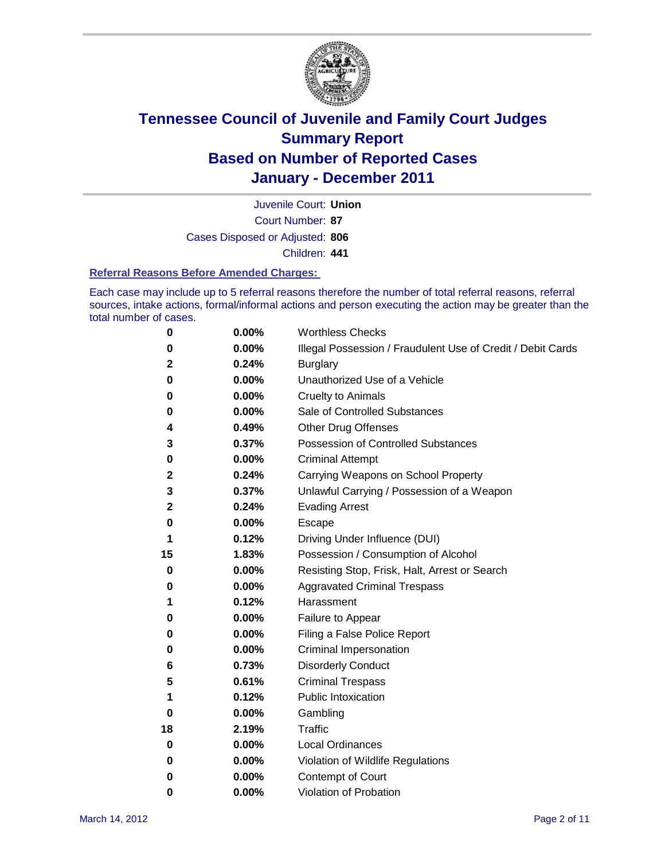

Court Number: **87** Juvenile Court: **Union** Cases Disposed or Adjusted: **806** Children: **441**

#### **Referral Reasons Before Amended Charges:**

Each case may include up to 5 referral reasons therefore the number of total referral reasons, referral sources, intake actions, formal/informal actions and person executing the action may be greater than the total number of cases.

| 0  | 0.00% | <b>Worthless Checks</b>                                     |
|----|-------|-------------------------------------------------------------|
| 0  | 0.00% | Illegal Possession / Fraudulent Use of Credit / Debit Cards |
| 2  | 0.24% | <b>Burglary</b>                                             |
| 0  | 0.00% | Unauthorized Use of a Vehicle                               |
| 0  | 0.00% | <b>Cruelty to Animals</b>                                   |
| 0  | 0.00% | Sale of Controlled Substances                               |
| 4  | 0.49% | <b>Other Drug Offenses</b>                                  |
| 3  | 0.37% | <b>Possession of Controlled Substances</b>                  |
| 0  | 0.00% | <b>Criminal Attempt</b>                                     |
| 2  | 0.24% | Carrying Weapons on School Property                         |
| 3  | 0.37% | Unlawful Carrying / Possession of a Weapon                  |
| 2  | 0.24% | <b>Evading Arrest</b>                                       |
| 0  | 0.00% | Escape                                                      |
| 1  | 0.12% | Driving Under Influence (DUI)                               |
| 15 | 1.83% | Possession / Consumption of Alcohol                         |
| 0  | 0.00% | Resisting Stop, Frisk, Halt, Arrest or Search               |
| 0  | 0.00% | <b>Aggravated Criminal Trespass</b>                         |
| 1  | 0.12% | Harassment                                                  |
| 0  | 0.00% | Failure to Appear                                           |
| 0  | 0.00% | Filing a False Police Report                                |
| 0  | 0.00% | Criminal Impersonation                                      |
| 6  | 0.73% | <b>Disorderly Conduct</b>                                   |
| 5  | 0.61% | <b>Criminal Trespass</b>                                    |
| 1  | 0.12% | <b>Public Intoxication</b>                                  |
| 0  | 0.00% | Gambling                                                    |
| 18 | 2.19% | <b>Traffic</b>                                              |
| 0  | 0.00% | <b>Local Ordinances</b>                                     |
| 0  | 0.00% | Violation of Wildlife Regulations                           |
| 0  | 0.00% | Contempt of Court                                           |
| 0  | 0.00% | Violation of Probation                                      |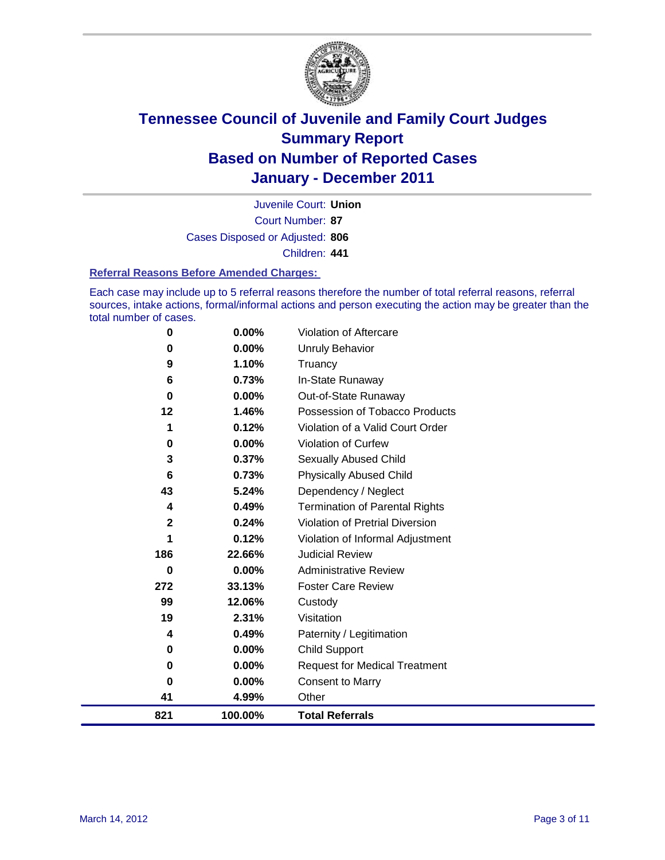

Court Number: **87** Juvenile Court: **Union** Cases Disposed or Adjusted: **806** Children: **441**

#### **Referral Reasons Before Amended Charges:**

Each case may include up to 5 referral reasons therefore the number of total referral reasons, referral sources, intake actions, formal/informal actions and person executing the action may be greater than the total number of cases.

| 821            | 100.00% | <b>Total Referrals</b>                 |
|----------------|---------|----------------------------------------|
| 41             | 4.99%   | Other                                  |
| 0              | 0.00%   | Consent to Marry                       |
| 0              | 0.00%   | <b>Request for Medical Treatment</b>   |
| 0              | 0.00%   | <b>Child Support</b>                   |
| 4              | 0.49%   | Paternity / Legitimation               |
| 19             | 2.31%   | Visitation                             |
| 99             | 12.06%  | Custody                                |
| 272            | 33.13%  | <b>Foster Care Review</b>              |
| 0              | 0.00%   | <b>Administrative Review</b>           |
| 186            | 22.66%  | <b>Judicial Review</b>                 |
| 1              | 0.12%   | Violation of Informal Adjustment       |
| $\overline{2}$ | 0.24%   | <b>Violation of Pretrial Diversion</b> |
| 4              | 0.49%   | <b>Termination of Parental Rights</b>  |
| 43             | 5.24%   | Dependency / Neglect                   |
| 6              | 0.73%   | <b>Physically Abused Child</b>         |
| 3              | 0.37%   | <b>Sexually Abused Child</b>           |
| 0              | 0.00%   | <b>Violation of Curfew</b>             |
| 1              | 0.12%   | Violation of a Valid Court Order       |
| 12             | 1.46%   | Possession of Tobacco Products         |
| 0              | 0.00%   | Out-of-State Runaway                   |
| 6              | 0.73%   | In-State Runaway                       |
| 9              | 1.10%   | Truancy                                |
| 0              | 0.00%   | <b>Unruly Behavior</b>                 |
| 0              | 0.00%   | Violation of Aftercare                 |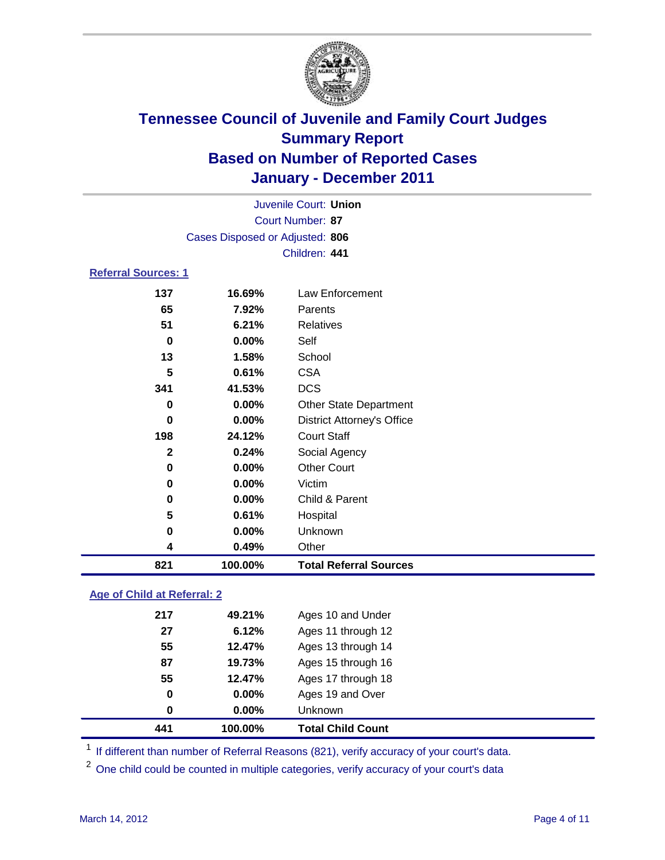

|                            | Juvenile Court: Union           |                                   |  |  |
|----------------------------|---------------------------------|-----------------------------------|--|--|
|                            | Court Number: 87                |                                   |  |  |
|                            | Cases Disposed or Adjusted: 806 |                                   |  |  |
|                            |                                 | Children: 441                     |  |  |
| <b>Referral Sources: 1</b> |                                 |                                   |  |  |
| 137                        | 16.69%                          | <b>Law Enforcement</b>            |  |  |
| 65                         | 7.92%                           | Parents                           |  |  |
| 51                         | 6.21%                           | <b>Relatives</b>                  |  |  |
| 0                          | 0.00%                           | Self                              |  |  |
| 13                         | 1.58%                           | School                            |  |  |
| 5                          | 0.61%                           | <b>CSA</b>                        |  |  |
| 341                        | 41.53%                          | <b>DCS</b>                        |  |  |
| 0                          | $0.00\%$                        | <b>Other State Department</b>     |  |  |
| $\bf{0}$                   | 0.00%                           | <b>District Attorney's Office</b> |  |  |
| 198                        | 24.12%                          | <b>Court Staff</b>                |  |  |
| 2                          | 0.24%                           | Social Agency                     |  |  |
| 0                          | $0.00\%$                        | <b>Other Court</b>                |  |  |
| 0                          | 0.00%                           | Victim                            |  |  |
| 0                          | $0.00\%$                        | Child & Parent                    |  |  |
| 5                          | 0.61%                           | Hospital                          |  |  |
| 0                          | 0.00%                           | Unknown                           |  |  |
| 4                          | 0.49%                           | Other                             |  |  |
| 821                        | 100.00%                         | <b>Total Referral Sources</b>     |  |  |
|                            |                                 |                                   |  |  |

### **Age of Child at Referral: 2**

| 441 | 100.00% | <b>Total Child Count</b> |
|-----|---------|--------------------------|
| 0   | 0.00%   | <b>Unknown</b>           |
| 0   | 0.00%   | Ages 19 and Over         |
| 55  | 12.47%  | Ages 17 through 18       |
| 87  | 19.73%  | Ages 15 through 16       |
| 55  | 12.47%  | Ages 13 through 14       |
| 27  | 6.12%   | Ages 11 through 12       |
| 217 | 49.21%  | Ages 10 and Under        |
|     |         |                          |

<sup>1</sup> If different than number of Referral Reasons (821), verify accuracy of your court's data.

<sup>2</sup> One child could be counted in multiple categories, verify accuracy of your court's data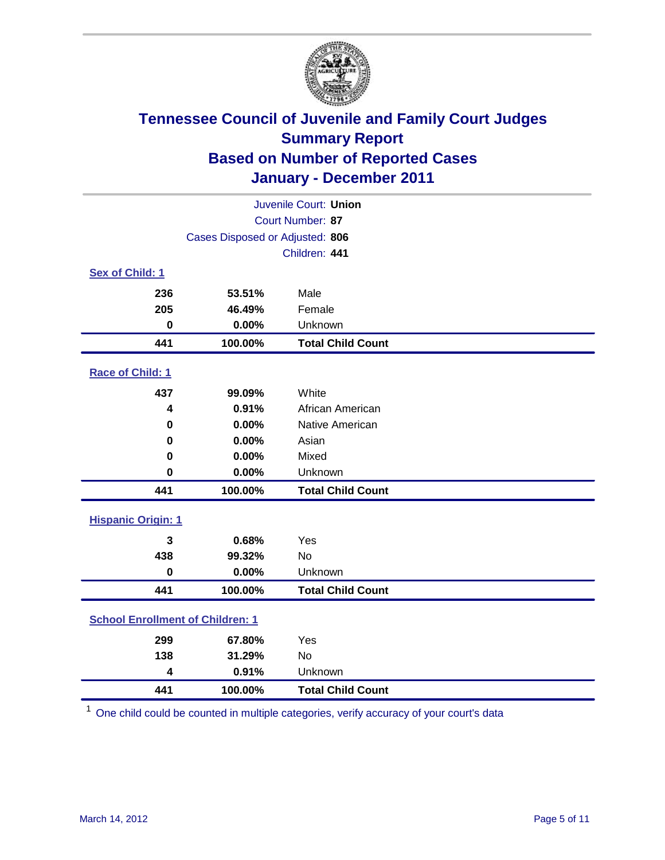

| Juvenile Court: Union                   |                                 |                          |  |  |
|-----------------------------------------|---------------------------------|--------------------------|--|--|
| Court Number: 87                        |                                 |                          |  |  |
|                                         | Cases Disposed or Adjusted: 806 |                          |  |  |
|                                         |                                 | Children: 441            |  |  |
| Sex of Child: 1                         |                                 |                          |  |  |
| 236                                     | 53.51%                          | Male                     |  |  |
| 205                                     | 46.49%                          | Female                   |  |  |
| $\mathbf 0$                             | 0.00%                           | Unknown                  |  |  |
| 441                                     | 100.00%                         | <b>Total Child Count</b> |  |  |
| Race of Child: 1                        |                                 |                          |  |  |
| 437                                     | 99.09%                          | White                    |  |  |
| $\boldsymbol{4}$                        | 0.91%                           | African American         |  |  |
| $\mathbf 0$                             | 0.00%                           | Native American          |  |  |
| 0                                       | 0.00%                           | Asian                    |  |  |
| 0                                       | 0.00%                           | Mixed                    |  |  |
| $\mathbf 0$                             | 0.00%                           | Unknown                  |  |  |
| 441                                     | 100.00%                         | <b>Total Child Count</b> |  |  |
| <b>Hispanic Origin: 1</b>               |                                 |                          |  |  |
| 3                                       | 0.68%                           | Yes                      |  |  |
| 438                                     | 99.32%                          | No                       |  |  |
| $\mathbf 0$                             | 0.00%                           | Unknown                  |  |  |
| 441                                     | 100.00%                         | <b>Total Child Count</b> |  |  |
| <b>School Enrollment of Children: 1</b> |                                 |                          |  |  |
| 299                                     | 67.80%                          | Yes                      |  |  |
| 138                                     | 31.29%                          | <b>No</b>                |  |  |
| 4                                       | 0.91%                           | Unknown                  |  |  |
| 441                                     | 100.00%                         | <b>Total Child Count</b> |  |  |

One child could be counted in multiple categories, verify accuracy of your court's data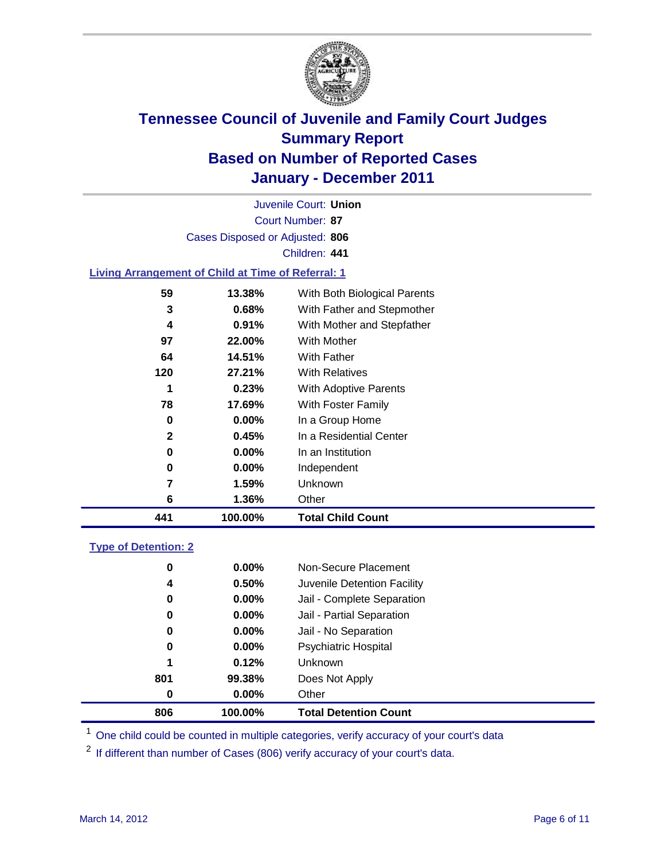

Court Number: **87** Juvenile Court: **Union** Cases Disposed or Adjusted: **806** Children: **441**

### **Living Arrangement of Child at Time of Referral: 1**

| 441 | 100.00%  | <b>Total Child Count</b>     |
|-----|----------|------------------------------|
| 6   | $1.36\%$ | Other                        |
| 7   | 1.59%    | Unknown                      |
| 0   | $0.00\%$ | Independent                  |
| 0   | $0.00\%$ | In an Institution            |
| 2   | 0.45%    | In a Residential Center      |
| 0   | $0.00\%$ | In a Group Home              |
| 78  | 17.69%   | With Foster Family           |
| 1   | 0.23%    | <b>With Adoptive Parents</b> |
| 120 | 27.21%   | <b>With Relatives</b>        |
| 64  | 14.51%   | With Father                  |
| 97  | 22.00%   | <b>With Mother</b>           |
| 4   | 0.91%    | With Mother and Stepfather   |
| 3   | 0.68%    | With Father and Stepmother   |
| 59  | 13.38%   | With Both Biological Parents |
|     |          |                              |

### **Type of Detention: 2**

| 806 | 100.00%  | <b>Total Detention Count</b> |  |
|-----|----------|------------------------------|--|
| 0   | $0.00\%$ | Other                        |  |
| 801 | 99.38%   | Does Not Apply               |  |
| 1   | 0.12%    | <b>Unknown</b>               |  |
| 0   | 0.00%    | <b>Psychiatric Hospital</b>  |  |
| 0   | 0.00%    | Jail - No Separation         |  |
| 0   | $0.00\%$ | Jail - Partial Separation    |  |
| 0   | $0.00\%$ | Jail - Complete Separation   |  |
| 4   | 0.50%    | Juvenile Detention Facility  |  |
| 0   | $0.00\%$ | Non-Secure Placement         |  |
|     |          |                              |  |

<sup>1</sup> One child could be counted in multiple categories, verify accuracy of your court's data

<sup>2</sup> If different than number of Cases (806) verify accuracy of your court's data.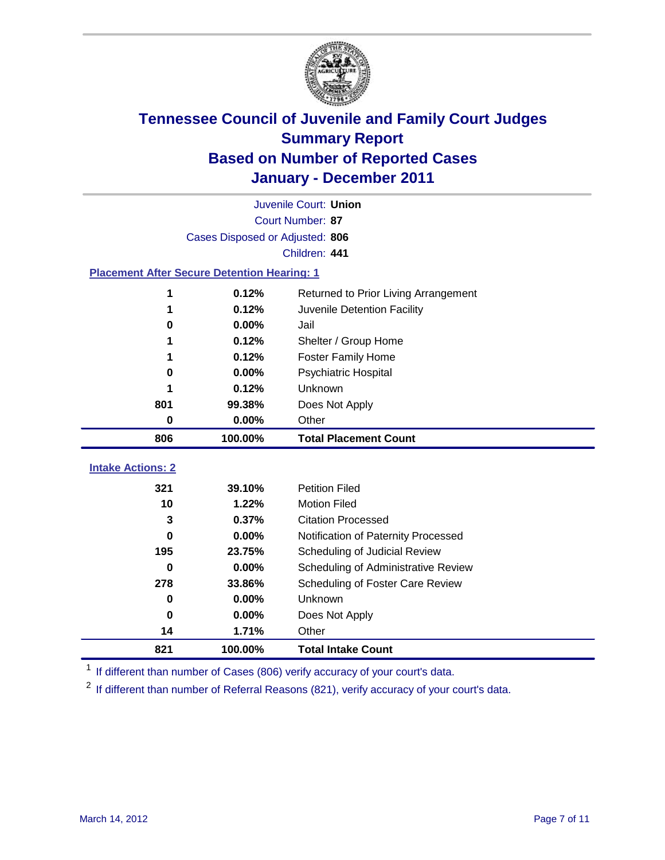

|                                                    | Juvenile Court: Union           |                                      |  |  |  |
|----------------------------------------------------|---------------------------------|--------------------------------------|--|--|--|
|                                                    | Court Number: 87                |                                      |  |  |  |
|                                                    | Cases Disposed or Adjusted: 806 |                                      |  |  |  |
|                                                    |                                 | Children: 441                        |  |  |  |
| <b>Placement After Secure Detention Hearing: 1</b> |                                 |                                      |  |  |  |
| 1                                                  | 0.12%                           | Returned to Prior Living Arrangement |  |  |  |
| 1                                                  | 0.12%                           | Juvenile Detention Facility          |  |  |  |
| 0                                                  | 0.00%                           | Jail                                 |  |  |  |
| 1                                                  | 0.12%                           | Shelter / Group Home                 |  |  |  |
| 1                                                  | 0.12%                           | Foster Family Home                   |  |  |  |
| $\bf{0}$                                           | 0.00%                           | <b>Psychiatric Hospital</b>          |  |  |  |
|                                                    | 0.12%                           | <b>Unknown</b>                       |  |  |  |
| 801                                                | 99.38%                          | Does Not Apply                       |  |  |  |
| 0                                                  | 0.00%                           | Other                                |  |  |  |
| 806                                                | 100.00%                         | <b>Total Placement Count</b>         |  |  |  |
|                                                    |                                 |                                      |  |  |  |
| <b>Intake Actions: 2</b>                           |                                 |                                      |  |  |  |
| 321                                                | 39.10%                          | <b>Petition Filed</b>                |  |  |  |
| 10                                                 | 1.22%                           | <b>Motion Filed</b>                  |  |  |  |
| 3                                                  | 0.37%                           | <b>Citation Processed</b>            |  |  |  |
| 0                                                  | 0.00%                           | Notification of Paternity Processed  |  |  |  |
| 195                                                | 23.75%                          | Scheduling of Judicial Review        |  |  |  |
| $\bf{0}$                                           | 0.00%                           | Scheduling of Administrative Review  |  |  |  |
| 278                                                | 33.86%                          | Scheduling of Foster Care Review     |  |  |  |
| $\bf{0}$                                           | 0.00%                           | Unknown                              |  |  |  |
| 0                                                  | 0.00%                           | Does Not Apply                       |  |  |  |
| 14                                                 | 1.71%                           | Other                                |  |  |  |
| 821                                                | 100.00%                         | <b>Total Intake Count</b>            |  |  |  |

<sup>1</sup> If different than number of Cases (806) verify accuracy of your court's data.

<sup>2</sup> If different than number of Referral Reasons (821), verify accuracy of your court's data.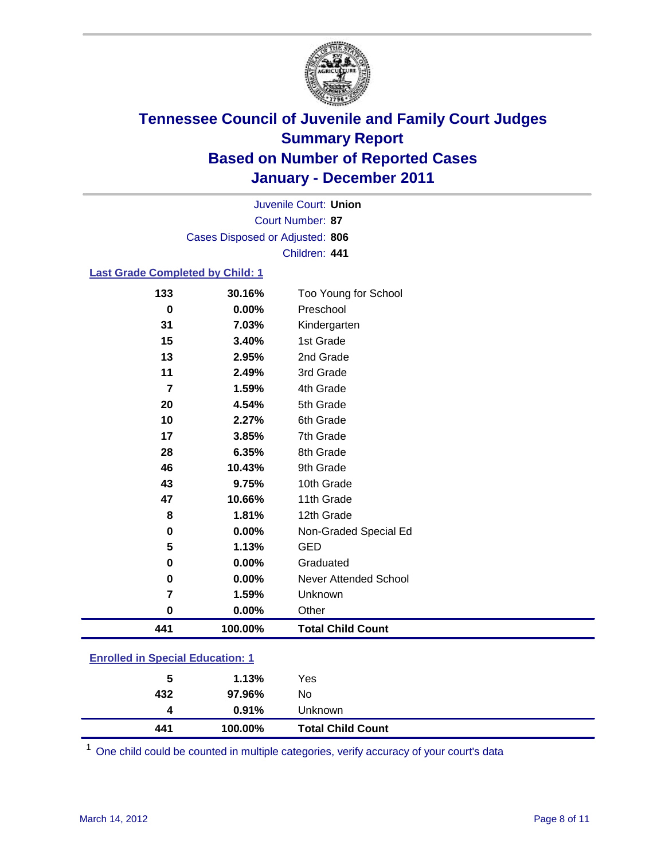

Court Number: **87** Juvenile Court: **Union** Cases Disposed or Adjusted: **806** Children: **441**

### **Last Grade Completed by Child: 1**

| 133                                     | 30.16%  | Too Young for School         |  |
|-----------------------------------------|---------|------------------------------|--|
| 0                                       | 0.00%   | Preschool                    |  |
| 31                                      | 7.03%   | Kindergarten                 |  |
| 15                                      | 3.40%   | 1st Grade                    |  |
| 13                                      | 2.95%   | 2nd Grade                    |  |
| 11                                      | 2.49%   | 3rd Grade                    |  |
| 7                                       | 1.59%   | 4th Grade                    |  |
| 20                                      | 4.54%   | 5th Grade                    |  |
| 10                                      | 2.27%   | 6th Grade                    |  |
| 17                                      | 3.85%   | 7th Grade                    |  |
| 28                                      | 6.35%   | 8th Grade                    |  |
| 46                                      | 10.43%  | 9th Grade                    |  |
| 43                                      | 9.75%   | 10th Grade                   |  |
| 47                                      | 10.66%  | 11th Grade                   |  |
| 8                                       | 1.81%   | 12th Grade                   |  |
| 0                                       | 0.00%   | Non-Graded Special Ed        |  |
| 5                                       | 1.13%   | <b>GED</b>                   |  |
| 0                                       | 0.00%   | Graduated                    |  |
| 0                                       | 0.00%   | <b>Never Attended School</b> |  |
| 7                                       | 1.59%   | Unknown                      |  |
| 0                                       | 0.00%   | Other                        |  |
| 441                                     | 100.00% | <b>Total Child Count</b>     |  |
| <b>Enrolled in Special Education: 1</b> |         |                              |  |

| 441                                   | 100.00% | <b>Total Child Count</b> |  |  |
|---------------------------------------|---------|--------------------------|--|--|
| 4                                     | 0.91%   | Unknown                  |  |  |
| 432                                   | 97.96%  | No                       |  |  |
| 5                                     | 1.13%   | Yes                      |  |  |
| $\mathbf{r}$ only a  opposite example |         |                          |  |  |

One child could be counted in multiple categories, verify accuracy of your court's data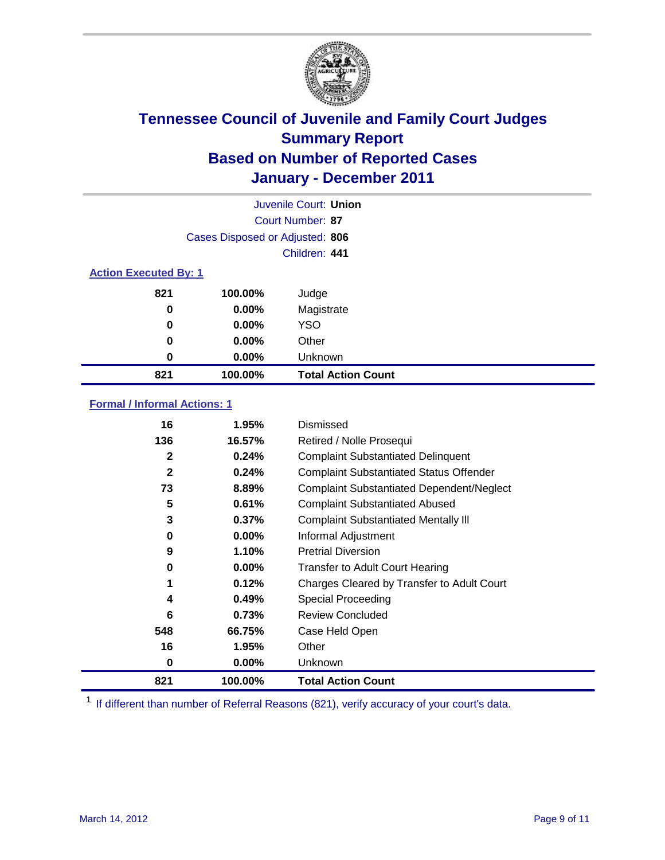

| Juvenile Court: Union        |                                 |                           |  |  |  |
|------------------------------|---------------------------------|---------------------------|--|--|--|
|                              | Court Number: 87                |                           |  |  |  |
|                              | Cases Disposed or Adjusted: 806 |                           |  |  |  |
|                              |                                 | Children: 441             |  |  |  |
| <b>Action Executed By: 1</b> |                                 |                           |  |  |  |
| 821                          | 100.00%                         | Judge                     |  |  |  |
| 0                            | $0.00\%$                        | Magistrate                |  |  |  |
| 0                            | $0.00\%$                        | <b>YSO</b>                |  |  |  |
| 0                            | 0.00%                           | Other                     |  |  |  |
| 0                            | 0.00%                           | Unknown                   |  |  |  |
| 821                          | 100.00%                         | <b>Total Action Count</b> |  |  |  |

### **Formal / Informal Actions: 1**

| 16           | 1.95%    | Dismissed                                        |
|--------------|----------|--------------------------------------------------|
| 136          | 16.57%   | Retired / Nolle Prosequi                         |
| 2            | 0.24%    | <b>Complaint Substantiated Delinquent</b>        |
| $\mathbf{2}$ | 0.24%    | <b>Complaint Substantiated Status Offender</b>   |
| 73           | 8.89%    | <b>Complaint Substantiated Dependent/Neglect</b> |
| 5            | 0.61%    | <b>Complaint Substantiated Abused</b>            |
| 3            | 0.37%    | <b>Complaint Substantiated Mentally III</b>      |
| 0            | $0.00\%$ | Informal Adjustment                              |
| 9            | 1.10%    | <b>Pretrial Diversion</b>                        |
| 0            | $0.00\%$ | <b>Transfer to Adult Court Hearing</b>           |
| 1            | 0.12%    | Charges Cleared by Transfer to Adult Court       |
| 4            | 0.49%    | Special Proceeding                               |
| 6            | 0.73%    | <b>Review Concluded</b>                          |
| 548          | 66.75%   | Case Held Open                                   |
| 16           | 1.95%    | Other                                            |
| 0            | $0.00\%$ | Unknown                                          |
| 821          | 100.00%  | <b>Total Action Count</b>                        |

<sup>1</sup> If different than number of Referral Reasons (821), verify accuracy of your court's data.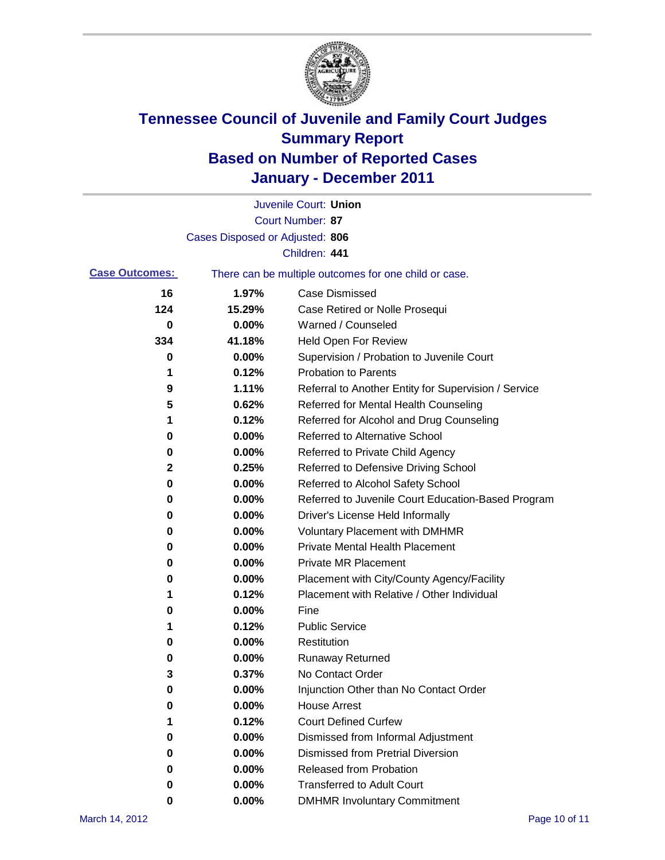

|                       |                                 | Juvenile Court: Union                                 |
|-----------------------|---------------------------------|-------------------------------------------------------|
|                       |                                 | Court Number: 87                                      |
|                       | Cases Disposed or Adjusted: 806 |                                                       |
|                       |                                 | Children: 441                                         |
| <b>Case Outcomes:</b> |                                 | There can be multiple outcomes for one child or case. |
| 16                    | 1.97%                           | <b>Case Dismissed</b>                                 |
| 124                   | 15.29%                          | Case Retired or Nolle Prosequi                        |
| 0                     | 0.00%                           | Warned / Counseled                                    |
| 334                   | 41.18%                          | <b>Held Open For Review</b>                           |
| 0                     | 0.00%                           | Supervision / Probation to Juvenile Court             |
| 1                     | 0.12%                           | <b>Probation to Parents</b>                           |
| 9                     | 1.11%                           | Referral to Another Entity for Supervision / Service  |
| 5                     | 0.62%                           | Referred for Mental Health Counseling                 |
| 1                     | 0.12%                           | Referred for Alcohol and Drug Counseling              |
| 0                     | 0.00%                           | <b>Referred to Alternative School</b>                 |
| 0                     | 0.00%                           | Referred to Private Child Agency                      |
| 2                     | 0.25%                           | Referred to Defensive Driving School                  |
| 0                     | 0.00%                           | Referred to Alcohol Safety School                     |
| 0                     | 0.00%                           | Referred to Juvenile Court Education-Based Program    |
| 0                     | 0.00%                           | Driver's License Held Informally                      |
| 0                     | 0.00%                           | <b>Voluntary Placement with DMHMR</b>                 |
| 0                     | 0.00%                           | <b>Private Mental Health Placement</b>                |
| 0                     | 0.00%                           | <b>Private MR Placement</b>                           |
| 0                     | 0.00%                           | Placement with City/County Agency/Facility            |
| 1                     | 0.12%                           | Placement with Relative / Other Individual            |
| 0                     | 0.00%                           | Fine                                                  |
| 1                     | 0.12%                           | <b>Public Service</b>                                 |
| 0                     | 0.00%                           | Restitution                                           |
| 0                     | 0.00%                           | <b>Runaway Returned</b>                               |
| 3                     | 0.37%                           | No Contact Order                                      |
| 0                     | 0.00%                           | Injunction Other than No Contact Order                |
| 0                     | 0.00%                           | <b>House Arrest</b>                                   |
| 1                     | 0.12%                           | <b>Court Defined Curfew</b>                           |
| 0                     | 0.00%                           | Dismissed from Informal Adjustment                    |
| 0                     | 0.00%                           | <b>Dismissed from Pretrial Diversion</b>              |
| 0                     | 0.00%                           | Released from Probation                               |
| 0                     | 0.00%                           | <b>Transferred to Adult Court</b>                     |
| 0                     | $0.00\%$                        | <b>DMHMR Involuntary Commitment</b>                   |